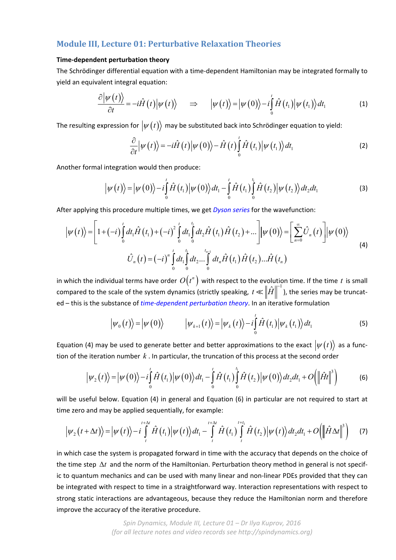# **Module III, Lecture 01: Perturbative Relaxation Theories**

### **Time‐dependent perturbation theory**

The Schrödinger differential equation with a time‐dependent Hamiltonian may be integrated formally to yield an equivalent integral equation:

$$
\frac{\partial |\psi(t)\rangle}{\partial t} = -i\hat{H}(t)|\psi(t)\rangle \quad \Rightarrow \quad |\psi(t)\rangle = |\psi(0)\rangle - i\int_{0}^{t} \hat{H}(t_1)|\psi(t_1)\rangle dt_1 \tag{1}
$$

The resulting expression for  $|\psi(t)\rangle$  may be substituted back into Schrödinger equation to yield:

$$
\frac{\partial}{\partial t} \Big| \psi(t) \Big\rangle = -i\hat{H}(t) \Big| \psi(0) \Big\rangle - \hat{H}(t) \int_{0}^{t} \hat{H}(t_1) \Big| \psi(t_1) \Big\rangle dt_1 \tag{2}
$$

Another formal integration would then produce:

$$
\left|\psi(t)\right\rangle = \left|\psi(0)\right\rangle - i\int_{0}^{t} \hat{H}(t_1)\left|\psi(0)\right\rangle dt_1 - \int_{0}^{t} \hat{H}(t_1)\int_{0}^{t_1} \hat{H}(t_2)\left|\psi(t_2)\right\rangle dt_2 dt_1
$$
\n(3)

After applying this procedure multiple times, we get *Dyson series* for the wavefunction:

$$
\left| \psi(t) \right\rangle = \left[ 1 + (-i) \int_{0}^{t} dt_{1} \hat{H}(t_{1}) + (-i)^{2} \int_{0}^{t} dt_{1} \int_{0}^{t_{1}} dt_{2} \hat{H}(t_{1}) \hat{H}(t_{2}) + \dots \right] \left| \psi(0) \right\rangle = \left[ \sum_{n=0}^{\infty} \hat{U}_{n}(t) \right] \left| \psi(0) \right\rangle
$$
\n
$$
\hat{U}_{n}(t) = (-i)^{n} \int_{0}^{t} dt_{1} \int_{0}^{t_{1}} dt_{2} \dots \int_{0}^{t_{n-1}} dt_{n} \hat{H}(t_{1}) \hat{H}(t_{2}) \dots \hat{H}(t_{n}) \tag{4}
$$

in which the individual terms have order  $O(t^n)$  with respect to the evolution time. If the time t is small compared to the scale of the system dynamics (strictly speaking,  $t \ll ||\hat{H}||^{-1}$ ), the series may be truncated – this is the substance of *time‐dependent perturbation theory*. In an iterative formulation

$$
\left|\psi_{0}(t)\right\rangle = \left|\psi(0)\right\rangle \qquad \left|\psi_{k+1}(t)\right\rangle = \left|\psi_{k}(t)\right\rangle - i\int_{0}^{t} \hat{H}\left(t_{1}\right)\left|\psi_{k}(t_{1})\right\rangle dt_{1} \qquad (5)
$$

Equation (4) may be used to generate better and better approximations to the exact  $|\psi(t)\rangle$  as a function of the iteration number *k* . In particular, the truncation of this process at the second order

$$
\left|\psi_{2}(t)\right\rangle = \left|\psi(0)\right\rangle - i\int_{0}^{t} \hat{H}(t_{1})\left|\psi(0)\right\rangle dt_{1} - \int_{0}^{t} \hat{H}(t_{1})\int_{0}^{t_{1}} \hat{H}(t_{2})\left|\psi(0)\right\rangle dt_{2} dt_{1} + O\left(\left\|\hat{Ht}\right\|^{3}\right)
$$
(6)

will be useful below. Equation (4) in general and Equation (6) in particular are not required to start at time zero and may be applied sequentially, for example:

$$
\left|\psi_{2}\left(t+\Delta t\right)\right\rangle=\left|\psi\left(t\right)\right\rangle-i\int\limits_{t}^{t+\Delta t}\hat{H}\left(t_{1}\right)\left|\psi\left(t\right)\right\rangle dt_{1}-\int\limits_{t}^{t+\Delta t}\hat{H}\left(t_{1}\right)\int\limits_{t}^{t+\ell_{1}}\hat{H}\left(t_{2}\right)\left|\psi\left(t\right)\right\rangle dt_{2}dt_{1}+O\left(\left\|\hat{H}\Delta t\right\|^{3}\right) \tag{7}
$$

in which case the system is propagated forward in time with the accuracy that depends on the choice of the time step  $\Delta t$  and the norm of the Hamiltonian. Perturbation theory method in general is not specific to quantum mechanics and can be used with many linear and non‐linear PDEs provided that they can be integrated with respect to time in a straightforward way. Interaction representations with respect to strong static interactions are advantageous, because they reduce the Hamiltonian norm and therefore improve the accuracy of the iterative procedure.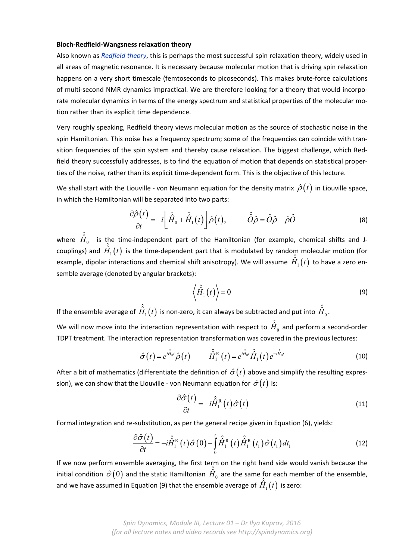## **Bloch‐Redfield‐Wangsness relaxation theory**

Also known as *Redfield theory*, this is perhaps the most successful spin relaxation theory, widely used in all areas of magnetic resonance. It is necessary because molecular motion that is driving spin relaxation happens on a very short timescale (femtoseconds to picoseconds). This makes brute‐force calculations of multi-second NMR dynamics impractical. We are therefore looking for a theory that would incorporate molecular dynamics in terms of the energy spectrum and statistical properties of the molecular motion rather than its explicit time dependence.

Very roughly speaking, Redfield theory views molecular motion as the source of stochastic noise in the spin Hamiltonian. This noise has a frequency spectrum; some of the frequencies can coincide with transition frequencies of the spin system and thereby cause relaxation. The biggest challenge, which Red‐ field theory successfully addresses, is to find the equation of motion that depends on statistical proper‐ ties of the noise, rather than its explicit time‐dependent form. This is the objective of this lecture.

We shall start with the Liouville - von Neumann equation for the density matrix  $\hat{\rho}(t)$  in Liouville space, in which the Hamiltonian will be separated into two parts:

$$
\frac{\partial \hat{\rho}(t)}{\partial t} = -i \left[ \hat{\hat{H}}_0 + \hat{\hat{H}}_1(t) \right] \hat{\rho}(t), \qquad \hat{\hat{O}} \hat{\rho} = \hat{O} \hat{\rho} - \hat{\rho} \hat{O}
$$
\n(8)

where  $\hat{H}_0$  is the time-independent part of the Hamiltonian (for example, chemical shifts and Jcouplings) and  $\hat{H}_{1}(t)$  is the time-dependent part that is modulated by random molecular motion (for example, dipolar interactions and chemical shift anisotropy). We will assume  $\hat{H}_1(t)$  to have a zero ensemble average (denoted by angular brackets):

$$
\left\langle \hat{H}_1(t) \right\rangle = 0 \tag{9}
$$

If the ensemble average of  $\hat{H}_{_1}(t)$  is non-zero, it can always be subtracted and put into  $\hat{\hat{H}}_{_0}.$ 

We will now move into the interaction representation with respect to  $\hat{\hat{H}}_0$  and perform a second-order TDPT treatment. The interaction representation transformation was covered in the previous lectures:

$$
\hat{\sigma}(t) = e^{i\hat{\hat{H}}_{0}t} \hat{\rho}(t) \qquad \hat{\hat{H}}_{1}^{\text{R}}(t) = e^{i\hat{\hat{H}}_{0}t} \hat{\hat{H}}_{1}(t) e^{-i\hat{\hat{H}}_{0}t}
$$
\n(10)

After a bit of mathematics (differentiate the definition of  $\hat{\sigma}(t)$  above and simplify the resulting expression), we can show that the Liouville - von Neumann equation for  $\hat{\sigma}(t)$  is:

$$
\frac{\partial \hat{\sigma}(t)}{\partial t} = -i \hat{\hat{H}}_1^{\text{R}}(t) \hat{\sigma}(t)
$$
\n(11)

Formal integration and re-substitution, as per the general recipe given in Equation (6), yields:

$$
\frac{\partial \hat{\sigma}(t)}{\partial t} = -i\hat{H}_{1}^{R}(t)\hat{\sigma}(0) - \int_{0}^{t} \hat{H}_{1}^{R}(t)\hat{H}_{1}^{R}(t_{1})\hat{\sigma}(t_{1})dt_{1}
$$
\n(12)

If we now perform ensemble averaging, the first term on the right hand side would vanish because the initial condition  $\hat{\sigma}(0)$  and the static Hamiltonian  $\hat{\hat{H}}_0$  are the same for each member of the ensemble, and we have assumed in Equation (9) that the ensemble average of  $\hat{H}_{1}(t)$  is zero: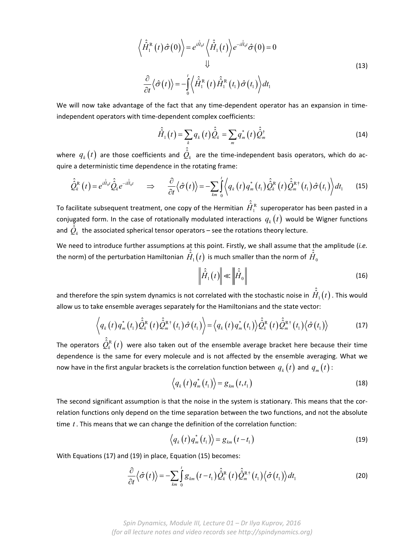$$
\left\langle \hat{H}_{1}^{R}(t)\hat{\sigma}(0)\right\rangle = e^{i\hat{H}_{0}t}\left\langle \hat{H}_{1}(t)\right\rangle e^{-i\hat{H}_{0}t}\hat{\sigma}(0) = 0
$$
\n
$$
\downarrow \qquad \downarrow \qquad (13)
$$
\n
$$
\frac{\partial}{\partial t}\left\langle \hat{\sigma}(t)\right\rangle = -\int_{0}^{t}\left\langle \hat{H}_{1}^{R}(t)\hat{H}_{1}^{R}(t_{1})\hat{\sigma}(t_{1})\right\rangle dt_{1}
$$

We will now take advantage of the fact that any time-dependent operator has an expansion in timeindependent operators with time‐dependent complex coefficients:

$$
\hat{\hat{H}}_1(t) = \sum_{k} q_k(t) \hat{\hat{Q}}_k = \sum_{m} q_m^*(t) \hat{\hat{Q}}_m^{\dagger}
$$
 (14)

where  $\,q_k^{}\left(t\right)$  are those coefficients and  $\,\hat{\hat{\cal Q}}^{}_{k}\,$  are the time-independent basis operators, which do acquire a deterministic time dependence in the rotating frame:

$$
\hat{\hat{Q}}_k^R(t) = e^{i\hat{H}_0 t} \hat{\hat{Q}}_k e^{-i\hat{H}_0 t} \Rightarrow \frac{\partial}{\partial t} \langle \hat{\sigma}(t) \rangle = -\sum_{km} \int_0^t \langle q_k(t) q_m^*(t_1) \hat{\hat{Q}}_k^R(t) \hat{\hat{Q}}_m^{R\dagger}(t_1) \hat{\sigma}(t_1) \rangle dt_1 \quad (15)
$$

To facilitate subsequent treatment, one copy of the Hermitian  $\,\hat{H}_{\text{\tiny I}}^{\text{\tiny R}}\,$  $\hat{\hat{H}}_{\scriptscriptstyle \rm I}^{\scriptscriptstyle\rm R}$  superoperator has been pasted in a conjugated form. In the case of rotationally modulated interactions  $q_k(t)$  would be Wigner functions and  $\overline{\hat{Q}}_k$  the associated spherical tensor operators – see the rotations theory lecture.

We need to introduce further assumptions at this point. Firstly, we shall assume that the amplitude (*i.e.* the norm) of the perturbation Hamiltonian  $\hat{\hat{H}}_{1}(t)$  is much smaller than the norm of  $\hat{\hat{H}}_{0}$ 

$$
\left\| \hat{\hat{H}}_1(t) \right\| \ll \left\| \hat{\hat{H}}_0 \right\| \tag{16}
$$

and therefore the spin system dynamics is not correlated with the stochastic noise in  $\hat{\hat{H}}_1(t)$  . This would allow us to take ensemble averages separately for the Hamiltonians and the state vector:

$$
\left\langle q_{k}\left(t\right)q_{m}^{*}\left(t_{1}\right)\hat{Q}_{k}^{\mathrm{R}}\left(t\right)\hat{Q}_{m}^{\mathrm{R}\dagger}\left(t_{1}\right)\hat{\sigma}\left(t_{1}\right)\right\rangle = \left\langle q_{k}\left(t\right)q_{m}^{*}\left(t_{1}\right)\right\rangle \hat{Q}_{k}^{\mathrm{R}}\left(t\right)\hat{Q}_{m}^{\mathrm{R}\dagger}\left(t_{1}\right)\left\langle \hat{\sigma}\left(t_{1}\right)\right\rangle \tag{17}
$$

The operators  $\hat{\hat{Q}}_{k}^{\text{R}}\left(t\right)$  were also taken out of the ensemble average bracket here because their time dependence is the same for every molecule and is not affected by the ensemble averaging. What we now have in the first angular brackets is the correlation function between  $q_k(t)$  and  $q_m(t)$ :

$$
\left\langle q_k\left(t\right)q_m^*\left(t_1\right)\right\rangle = g_{km}\left(t,t_1\right) \tag{18}
$$

The second significant assumption is that the noise in the system is stationary. This means that the cor‐ relation functions only depend on the time separation between the two functions, and not the absolute time *t* . This means that we can change the definition of the correlation function:

$$
\left\langle q_k\left(t\right)q_m^*\left(t_1\right)\right\rangle = g_{km}\left(t-t_1\right) \tag{19}
$$

With Equations (17) and (19) in place, Equation (15) becomes:

$$
\frac{\partial}{\partial t}\left\langle \hat{\sigma}(t)\right\rangle = -\sum_{km}\int_{0}^{t}g_{km}(t-t_1)\hat{Q}_{k}^{R}(t)\hat{Q}_{m}^{R\dagger}(t_1)\left\langle \hat{\sigma}(t_1)\right\rangle dt_1
$$
\n(20)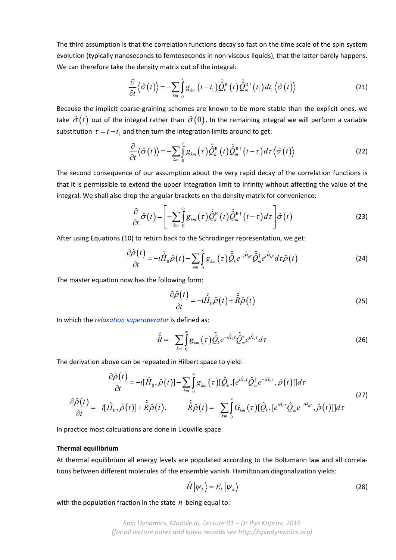The third assumption is that the correlation functions decay so fast on the time scale of the spin system evolution (typically nanoseconds to femtoseconds in non‐viscous liquids), that the latter barely happens. We can therefore take the density matrix out of the integral:

$$
\frac{\partial}{\partial t}\left\langle \hat{\sigma}(t)\right\rangle = -\sum_{km}\int_{0}^{t}g_{km}\left(t-t_{1}\right)\hat{\hat{Q}}_{k}^{\mathrm{R}}\left(t\right)\hat{\hat{Q}}_{m}^{\mathrm{R}\dagger}\left(t_{1}\right)dt_{1}\left\langle \hat{\sigma}(t)\right\rangle \tag{21}
$$

Because the implicit coarse-graining schemes are known to be more stable than the explicit ones, we take  $\hat{\sigma}(t)$  out of the integral rather than  $\hat{\sigma}(0)$ . In the remaining integral we will perform a variable substitution  $\tau = t - t_1$  and then turn the integration limits around to get:

$$
\frac{\partial}{\partial t}\left\langle \hat{\sigma}(t)\right\rangle = -\sum_{km}\int_{0}^{t}g_{km}(\tau)\hat{Q}_{k}^{R}(t)\hat{Q}_{m}^{R\dagger}(t-\tau)d\tau\left\langle \hat{\sigma}(t)\right\rangle \tag{22}
$$

The second consequence of our assumption about the very rapid decay of the correlation functions is that it is permissible to extend the upper integration limit to infinity without affecting the value of the integral. We shall also drop the angular brackets on the density matrix for convenience:

$$
\frac{\partial}{\partial t}\hat{\sigma}(t) = \left[ -\sum_{km} \int_{0}^{\infty} g_{km}(\tau) \hat{Q}_{k}^{R}(t) \hat{Q}_{m}^{R\dagger}(t-\tau) d\tau \right] \hat{\sigma}(t)
$$
\n(23)

After using Equations (10) to return back to the Schrödinger representation, we get:

$$
\frac{\partial \hat{\rho}(t)}{\partial t} = -i\hat{\hat{H}}_{0}\hat{\rho}(t) - \sum_{km} \int_{0}^{\infty} g_{km}(\tau) \hat{\hat{Q}}_{k} e^{-i\hat{H}_{0}\tau} \hat{\hat{Q}}_{m}^{\dagger} e^{i\hat{H}_{0}\tau} d\tau \hat{\rho}(t)
$$
(24)

The master equation now has the following form:

$$
\frac{\partial \hat{\rho}(t)}{\partial t} = -i\hat{H}_0 \hat{\rho}(t) + \hat{\hat{R}} \hat{\rho}(t)
$$
\n(25)

In which the *relaxation superoperator* is defined as:

$$
\hat{\hat{R}} = -\sum_{km} \int_{0}^{\infty} g_{km}(\tau) \hat{\hat{Q}}_{k} e^{-i\hat{H}_{0}\tau} \hat{\hat{Q}}_{m}^{\dagger} e^{i\hat{H}_{0}\tau} d\tau
$$
\n(26)

The derivation above can be repeated in Hilbert space to yield:

$$
\frac{\partial \hat{\rho}(t)}{\partial t} = -i[\hat{H}_0, \hat{\rho}(t)] - \sum_{km} \int_0^{\infty} g_{km}(\tau) [\hat{Q}_k, [e^{i\hat{H}_0 \tau} \hat{Q}_m^{\dagger} e^{-i\hat{H}_0 \tau}, \hat{\rho}(t)]] d\tau
$$
\n
$$
\frac{\partial \hat{\rho}(t)}{\partial t} = -i[\hat{H}_0, \hat{\rho}(t)] + \hat{\hat{R}} \hat{\rho}(t), \qquad \hat{\hat{R}} \hat{\rho}(t) = -\sum_{km} \int_0^{\infty} G_{km}(\tau) [\hat{Q}_k, [e^{i\hat{H}_0 \tau} \hat{Q}_m^{\dagger} e^{-i\hat{H}_0 \tau}, \hat{\rho}(t)]] d\tau
$$
\n(27)

In practice most calculations are done in Liouville space.

### **Thermal equilibrium**

At thermal equilibrium all energy levels are populated according to the Boltzmann law and all correla‐ tions between different molecules of the ensemble vanish. Hamiltonian diagonalization yields:

$$
\hat{H}|\psi_k\rangle = E_k|\psi_k\rangle \tag{28}
$$

with the population fraction in the state *n* being equal to: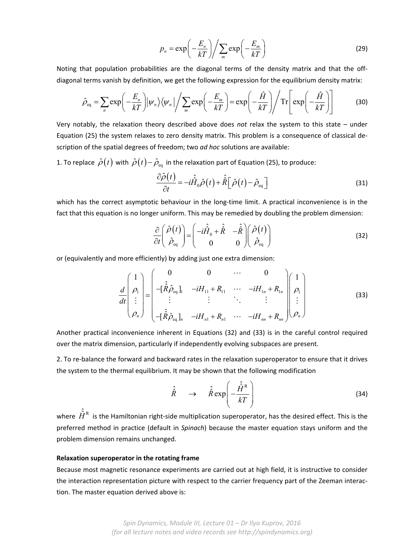$$
p_n = \exp\left(-\frac{E_n}{kT}\right) / \sum_m \exp\left(-\frac{E_m}{kT}\right)
$$
 (29)

Noting that population probabilities are the diagonal terms of the density matrix and that the off‐ diagonal terms vanish by definition, we get the following expression for the equilibrium density matrix:

$$
\hat{\rho}_{\text{eq}} = \sum_{n} \exp\left(-\frac{E_n}{kT}\right) |\psi_n\rangle\langle\psi_n| \bigg/ \sum_{m} \exp\left(-\frac{E_m}{kT}\right) = \exp\left(-\frac{\hat{H}}{kT}\right) \bigg/ \mathrm{Tr}\left[\exp\left(-\frac{\hat{H}}{kT}\right)\right] \tag{30}
$$

Very notably, the relaxation theory described above does *not* relax the system to this state – under Equation (25) the system relaxes to zero density matrix. This problem is a consequence of classical de‐ scription of the spatial degrees of freedom; two *ad hoc* solutions are available:

1. To replace  $\hat{\rho}(t)$  with  $\hat{\rho}(t) - \hat{\rho}_{eq}$  in the relaxation part of Equation (25), to produce:

$$
\frac{\partial \hat{\rho}(t)}{\partial t} = -i \hat{H}_0 \hat{\rho}(t) + \hat{\hat{R}} \Big[ \hat{\rho}(t) - \hat{\rho}_{\text{eq}} \Big]
$$
(31)

which has the correct asymptotic behaviour in the long-time limit. A practical inconvenience is in the fact that this equation is no longer uniform. This may be remedied by doubling the problem dimension:

$$
\frac{\partial}{\partial t} \left( \begin{matrix} \hat{\rho}(t) \\ \hat{\rho}_{\text{eq}} \end{matrix} \right) = \left( \begin{matrix} -i\hat{\hat{H}}_{0} + \hat{\hat{R}} & -\hat{\hat{R}} \\ 0 & 0 \end{matrix} \right) \left( \begin{matrix} \hat{\rho}(t) \\ \hat{\rho}_{\text{eq}} \end{matrix} \right) \tag{32}
$$

or (equivalently and more efficiently) by adding just one extra dimension:

$$
\frac{d}{dt}\begin{pmatrix} 1 \\ \rho_1 \\ \vdots \\ \rho_n \end{pmatrix} = \begin{pmatrix} 0 & 0 & \cdots & 0 \\ -[\hat{R}\hat{\rho}_{eq}]_1 & -iH_{11} + R_{11} & \cdots & -iH_{1n} + R_{1n} \\ \vdots & \vdots & \ddots & \vdots \\ -[\hat{R}\hat{\rho}_{eq}]_n & -iH_{n1} + R_{n1} & \cdots & -iH_{nn} + R_{nn} \end{pmatrix} \begin{pmatrix} 1 \\ \rho_1 \\ \vdots \\ \rho_n \end{pmatrix}
$$
(33)

Another practical inconvenience inherent in Equations (32) and (33) is in the careful control required over the matrix dimension, particularly if independently evolving subspaces are present.

2. To re‐balance the forward and backward rates in the relaxation superoperator to ensure that it drives the system to the thermal equilibrium. It may be shown that the following modification

$$
\hat{\hat{R}} \qquad \to \qquad \hat{\hat{R}} \exp\left(-\frac{\hat{\hat{H}}^{\text{R}}}{kT}\right) \tag{34}
$$

where  $\hat{\hat{H}}^{\text{R}}$  is the Hamiltonian right-side multiplication superoperator, has the desired effect. This is the preferred method in practice (default in *Spinach*) because the master equation stays uniform and the problem dimension remains unchanged.

#### **Relaxation superoperator in the rotating frame**

Because most magnetic resonance experiments are carried out at high field, it is instructive to consider the interaction representation picture with respect to the carrier frequency part of the Zeeman interac‐ tion. The master equation derived above is: